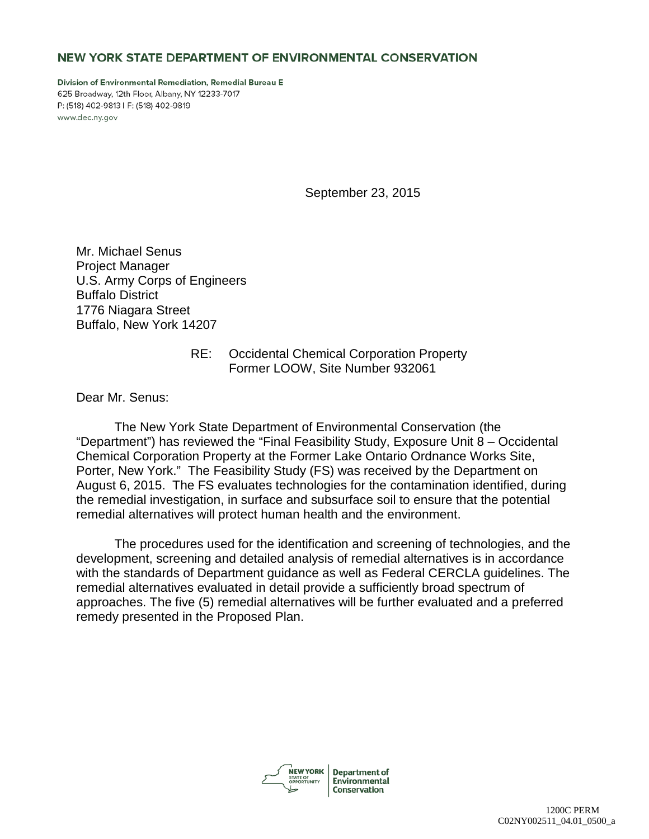## NEW YORK STATE DEPARTMENT OF ENVIRONMENTAL CONSERVATION

Division of Environmental Remediation, Remedial Bureau E 625 Broadway, 12th Floor, Albany, NY 12233-7017 P: (518) 402-9813 I F: (518) 402-9819 www.dec.ny.gov

September 23, 2015

Mr. Michael Senus Project Manager U.S. Army Corps of Engineers Buffalo District 1776 Niagara Street Buffalo, New York 14207

## RE: Occidental Chemical Corporation Property Former LOOW, Site Number 932061

Dear Mr. Senus:

The New York State Department of Environmental Conservation (the "Department") has reviewed the "Final Feasibility Study, Exposure Unit 8 – Occidental Chemical Corporation Property at the Former Lake Ontario Ordnance Works Site, Porter, New York." The Feasibility Study (FS) was received by the Department on August 6, 2015. The FS evaluates technologies for the contamination identified, during the remedial investigation, in surface and subsurface soil to ensure that the potential remedial alternatives will protect human health and the environment.

The procedures used for the identification and screening of technologies, and the development, screening and detailed analysis of remedial alternatives is in accordance with the standards of Department guidance as well as Federal CERCLA guidelines. The remedial alternatives evaluated in detail provide a sufficiently broad spectrum of approaches. The five (5) remedial alternatives will be further evaluated and a preferred remedy presented in the Proposed Plan.